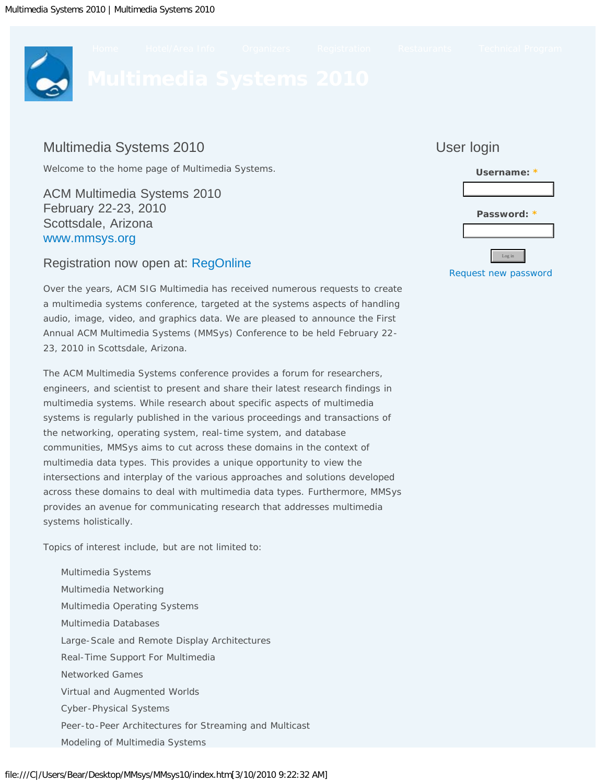<span id="page-0-0"></span>

# Multimedia Systems 2010

Welcome to the home page of Multimedia Systems.

ACM Multimedia Systems 2010 February 22-23, 2010 Scottsdale, Arizona [www.mmsys.org](#page-0-0)

## Registration now open at: [RegOnline](javascript:if(confirm()

Over the years, ACM SIG Multimedia has received numerous requests to create a multimedia systems conference, targeted at the systems aspects of handling audio, image, video, and graphics data. We are pleased to announce the First Annual ACM Multimedia Systems (MMSys) Conference to be held February 22- 23, 2010 in Scottsdale, Arizona.

The ACM Multimedia Systems conference provides a forum for researchers, engineers, and scientist to present and share their latest research findings in multimedia systems. While research about specific aspects of multimedia systems is regularly published in the various proceedings and transactions of the networking, operating system, real-time system, and database communities, MMSys aims to cut across these domains in the context of multimedia data types. This provides a unique opportunity to view the intersections and interplay of the various approaches and solutions developed across these domains to deal with multimedia data types. Furthermore, MMSys provides an avenue for communicating research that addresses multimedia systems holistically.

Topics of interest include, but are not limited to:

Multimedia Systems Multimedia Networking Multimedia Operating Systems Multimedia Databases Large-Scale and Remote Display Architectures Real-Time Support For Multimedia Networked Games Virtual and Augmented Worlds Cyber-Physical Systems Peer-to-Peer Architectures for Streaming and Multicast Modeling of Multimedia Systems



User login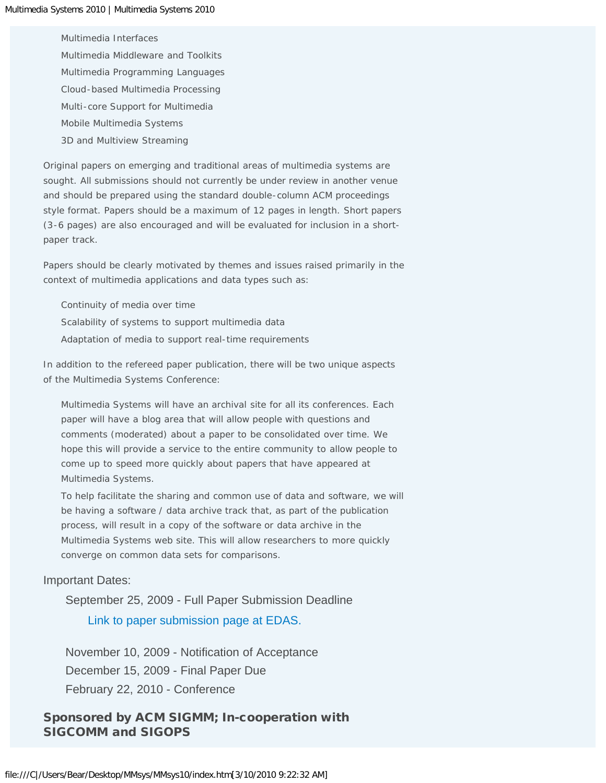Multimedia Interfaces Multimedia Middleware and Toolkits Multimedia Programming Languages Cloud-based Multimedia Processing Multi-core Support for Multimedia Mobile Multimedia Systems 3D and Multiview Streaming

Original papers on emerging and traditional areas of multimedia systems are sought. All submissions should not currently be under review in another venue and should be prepared using the standard double-column ACM proceedings style format. Papers should be a maximum of 12 pages in length. Short papers (3-6 pages) are also encouraged and will be evaluated for inclusion in a shortpaper track.

Papers should be clearly motivated by themes and issues raised primarily in the context of multimedia applications and data types such as:

Continuity of media over time Scalability of systems to support multimedia data Adaptation of media to support real-time requirements

In addition to the refereed paper publication, there will be two unique aspects of the Multimedia Systems Conference:

Multimedia Systems will have an archival site for all its conferences. Each paper will have a blog area that will allow people with questions and comments (moderated) about a paper to be consolidated over time. We hope this will provide a service to the entire community to allow people to come up to speed more quickly about papers that have appeared at Multimedia Systems.

To help facilitate the sharing and common use of data and software, we will be having a software / data archive track that, as part of the publication process, will result in a copy of the software or data archive in the Multimedia Systems web site. This will allow researchers to more quickly converge on common data sets for comparisons.

#### Important Dates:

September 25, 2009 - Full Paper Submission Deadline [Link to paper submission page at EDAS.](javascript:if(confirm()

November 10, 2009 - Notification of Acceptance December 15, 2009 - Final Paper Due February 22, 2010 - Conference

## Sponsored by ACM SIGMM; In-cooperation with SIGCOMM and SIGOPS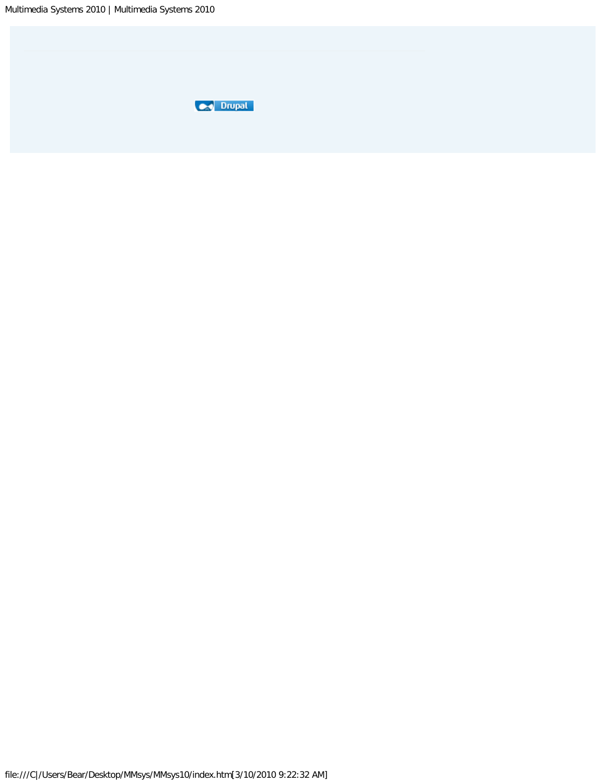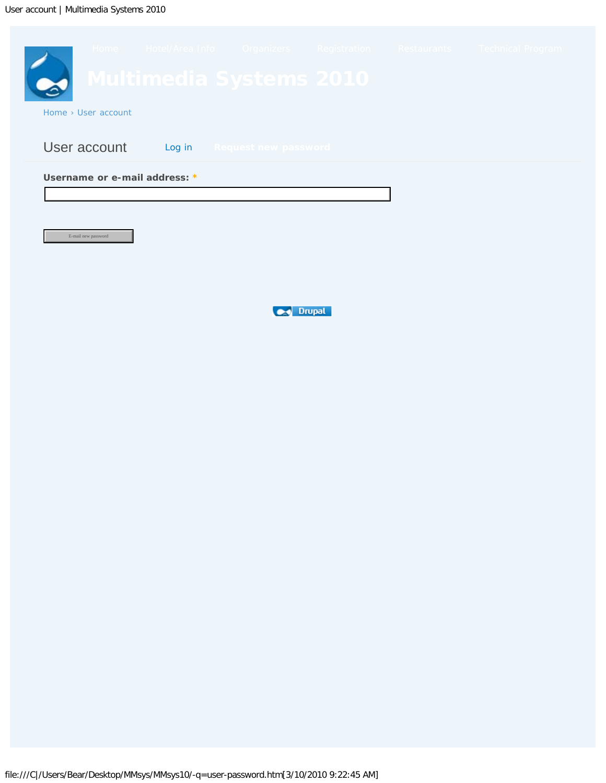<span id="page-3-0"></span>

**Drupal**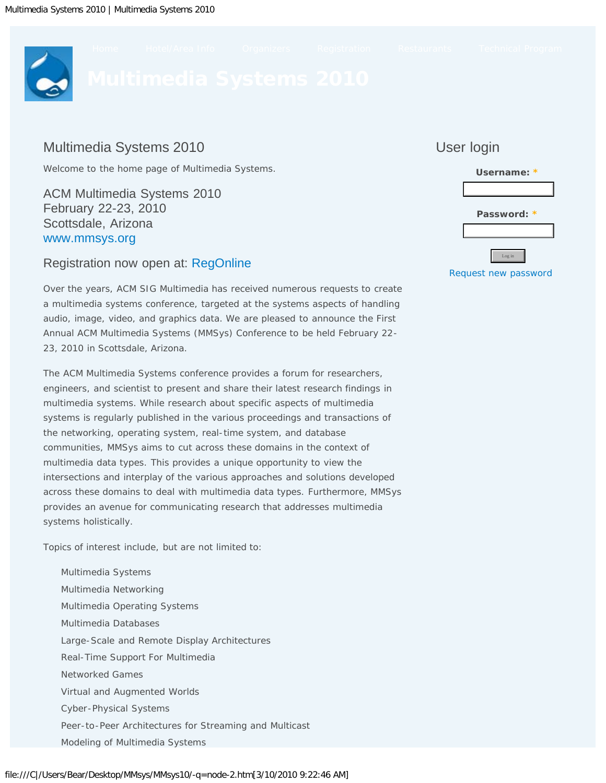<span id="page-4-0"></span>

# Multimedia Systems 2010

Welcome to the home page of Multimedia Systems.

ACM Multimedia Systems 2010 February 22-23, 2010 Scottsdale, Arizona [www.mmsys.org](#page-0-0)

## Registration now open at: [RegOnline](javascript:if(confirm()

Over the years, ACM SIG Multimedia has received numerous requests to create a multimedia systems conference, targeted at the systems aspects of handling audio, image, video, and graphics data. We are pleased to announce the First Annual ACM Multimedia Systems (MMSys) Conference to be held February 22- 23, 2010 in Scottsdale, Arizona.

The ACM Multimedia Systems conference provides a forum for researchers, engineers, and scientist to present and share their latest research findings in multimedia systems. While research about specific aspects of multimedia systems is regularly published in the various proceedings and transactions of the networking, operating system, real-time system, and database communities, MMSys aims to cut across these domains in the context of multimedia data types. This provides a unique opportunity to view the intersections and interplay of the various approaches and solutions developed across these domains to deal with multimedia data types. Furthermore, MMSys provides an avenue for communicating research that addresses multimedia systems holistically.

Topics of interest include, but are not limited to:

Multimedia Systems Multimedia Networking Multimedia Operating Systems Multimedia Databases Large-Scale and Remote Display Architectures Real-Time Support For Multimedia Networked Games Virtual and Augmented Worlds Cyber-Physical Systems Peer-to-Peer Architectures for Streaming and Multicast Modeling of Multimedia Systems

# User login **Username: \***

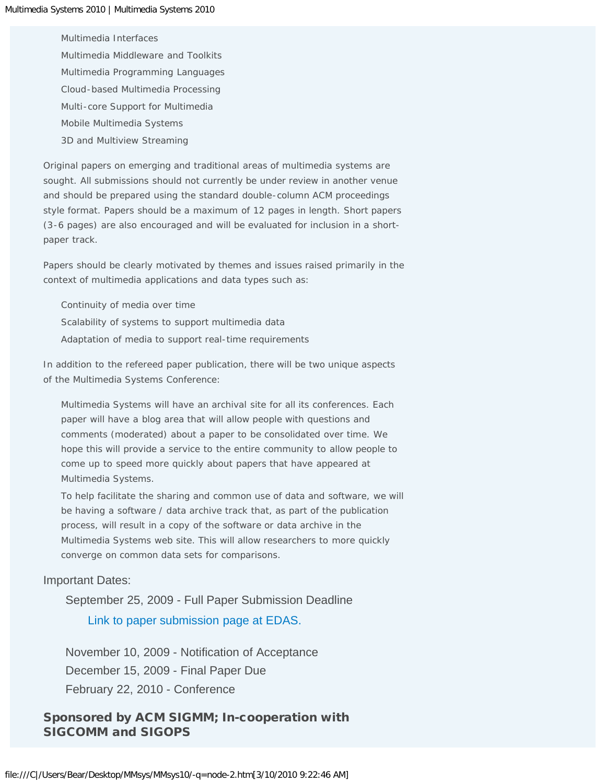Multimedia Interfaces Multimedia Middleware and Toolkits Multimedia Programming Languages Cloud-based Multimedia Processing Multi-core Support for Multimedia Mobile Multimedia Systems 3D and Multiview Streaming

Original papers on emerging and traditional areas of multimedia systems are sought. All submissions should not currently be under review in another venue and should be prepared using the standard double-column ACM proceedings style format. Papers should be a maximum of 12 pages in length. Short papers (3-6 pages) are also encouraged and will be evaluated for inclusion in a shortpaper track.

Papers should be clearly motivated by themes and issues raised primarily in the context of multimedia applications and data types such as:

Continuity of media over time Scalability of systems to support multimedia data Adaptation of media to support real-time requirements

In addition to the refereed paper publication, there will be two unique aspects of the Multimedia Systems Conference:

Multimedia Systems will have an archival site for all its conferences. Each paper will have a blog area that will allow people with questions and comments (moderated) about a paper to be consolidated over time. We hope this will provide a service to the entire community to allow people to come up to speed more quickly about papers that have appeared at Multimedia Systems.

To help facilitate the sharing and common use of data and software, we will be having a software / data archive track that, as part of the publication process, will result in a copy of the software or data archive in the Multimedia Systems web site. This will allow researchers to more quickly converge on common data sets for comparisons.

#### Important Dates:

September 25, 2009 - Full Paper Submission Deadline [Link to paper submission page at EDAS.](javascript:if(confirm()

November 10, 2009 - Notification of Acceptance December 15, 2009 - Final Paper Due February 22, 2010 - Conference

## Sponsored by ACM SIGMM; In-cooperation with SIGCOMM and SIGOPS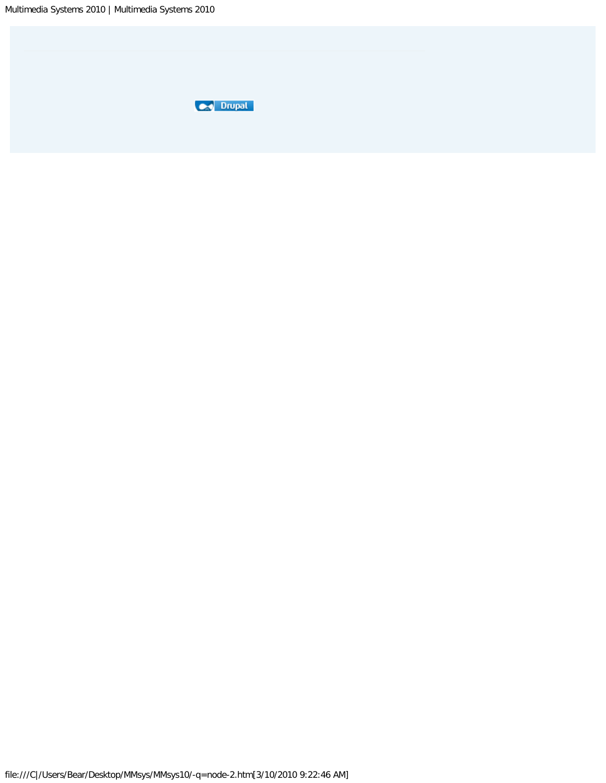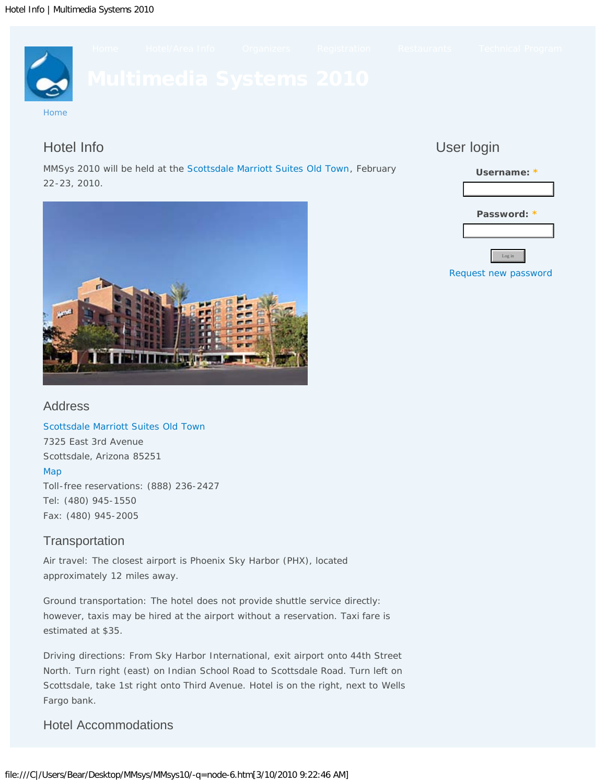<span id="page-7-0"></span>

# Hotel Info

## MMSys 2010 will be held at the [Scottsdale Marriott Suites Old Town](javascript:if(confirm(), February 22-23, 2010.

# User login





## Address

[Scottsdale Marriott Suites Old Town](javascript:if(confirm() 7325 East 3rd Avenue Scottsdale, Arizona 85251 [Map](javascript:if(confirm() Toll-free reservations: (888) 236-2427 Tel: (480) 945-1550 Fax: (480) 945-2005

# **Transportation**

Air travel: The closest airport is Phoenix Sky Harbor (PHX), located approximately 12 miles away.

Ground transportation: The hotel does not provide shuttle service directly: however, taxis may be hired at the airport without a reservation. Taxi fare is estimated at \$35.

Driving directions: From Sky Harbor International, exit airport onto 44th Street North. Turn right (east) on Indian School Road to Scottsdale Road. Turn left on Scottsdale, take 1st right onto Third Avenue. Hotel is on the right, next to Wells Fargo bank.

# Hotel Accommodations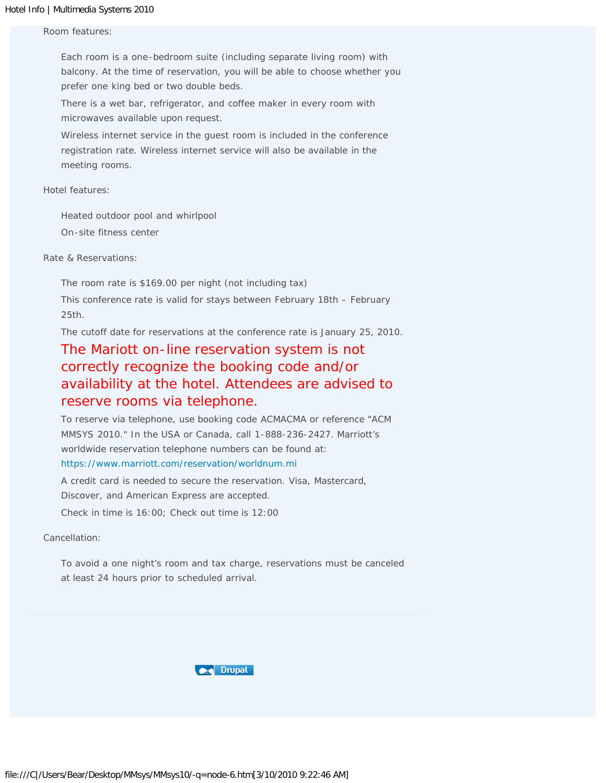#### Room features:

Each room is a one-bedroom suite (including separate living room) with balcony. At the time of reservation, you will be able to choose whether you prefer one king bed or two double beds.

There is a wet bar, refrigerator, and coffee maker in every room with microwaves available upon request.

Wireless internet service in the guest room is included in the conference registration rate. Wireless internet service will also be available in the meeting rooms.

Hotel features:

Heated outdoor pool and whirlpool On-site fitness center

Rate & Reservations:

The room rate is \$169.00 per night (not including tax)

This conference rate is valid for stays between February 18th – February 25th.

The cutoff date for reservations at the conference rate is January 25, 2010.

# The Mariott on-line reservation system is not correctly recognize the booking code and/or availability at the hotel. Attendees are advised to reserve rooms via telephone.

To reserve via telephone, use booking code ACMACMA or reference "ACM MMSYS 2010." In the USA or Canada, call 1-888-236-2427. Marriott's worldwide reservation telephone numbers can be found at: [https://www.marriott.com/reservation/worldnum.mi](javascript:if(confirm()

A credit card is needed to secure the reservation. Visa, Mastercard, Discover, and American Express are accepted. Check in time is 16:00; Check out time is 12:00

Cancellation:

To avoid a one night's room and tax charge, reservations must be canceled at least 24 hours prior to scheduled arrival.

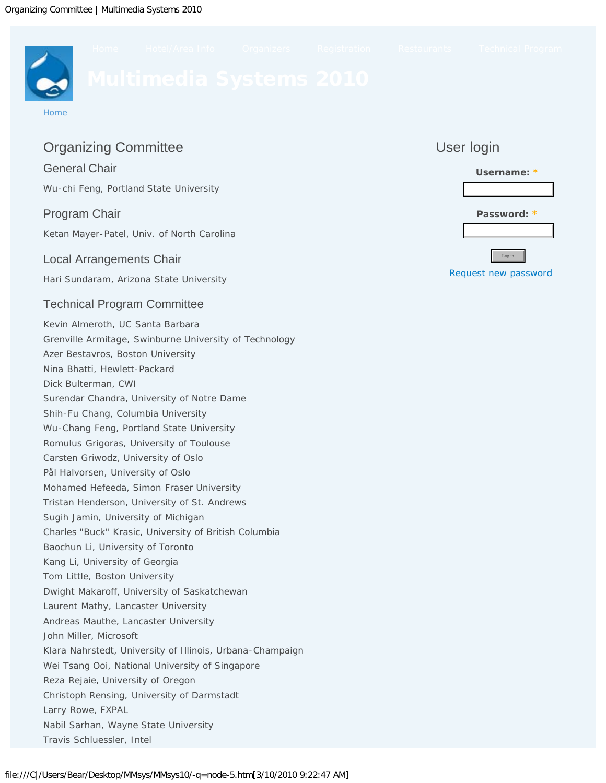<span id="page-9-0"></span>

# Organizing Committee

## General Chair

Wu-chi Feng, Portland State University

## Program Chair

Ketan Mayer-Patel, Univ. of North Carolina

## Local Arrangements Chair

Hari Sundaram, Arizona State University

# Technical Program Committee

Kevin Almeroth, UC Santa Barbara Grenville Armitage, Swinburne University of Technology Azer Bestavros, Boston University Nina Bhatti, Hewlett-Packard Dick Bulterman, CWI Surendar Chandra, University of Notre Dame Shih-Fu Chang, Columbia University Wu-Chang Feng, Portland State University Romulus Grigoras, University of Toulouse Carsten Griwodz, University of Oslo Pål Halvorsen, University of Oslo Mohamed Hefeeda, Simon Fraser University Tristan Henderson, University of St. Andrews Sugih Jamin, University of Michigan Charles "Buck" Krasic, University of British Columbia Baochun Li, University of Toronto Kang Li, University of Georgia Tom Little, Boston University Dwight Makaroff, University of Saskatchewan Laurent Mathy, Lancaster University Andreas Mauthe, Lancaster University John Miller, Microsoft Klara Nahrstedt, University of Illinois, Urbana-Champaign Wei Tsang Ooi, National University of Singapore Reza Rejaie, University of Oregon Christoph Rensing, University of Darmstadt Larry Rowe, FXPAL Nabil Sarhan, Wayne State University Travis Schluessler, Intel

# User login

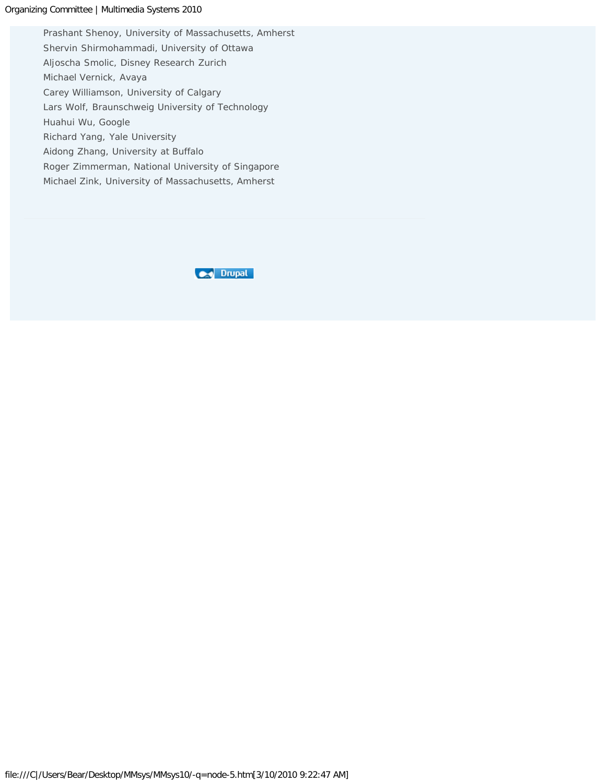#### Organizing Committee | Multimedia Systems 2010

Prashant Shenoy, University of Massachusetts, Amherst Shervin Shirmohammadi, University of Ottawa Aljoscha Smolic, Disney Research Zurich Michael Vernick, Avaya Carey Williamson, University of Calgary Lars Wolf, Braunschweig University of Technology Huahui Wu, Google Richard Yang, Yale University Aidong Zhang, University at Buffalo Roger Zimmerman, National University of Singapore Michael Zink, University of Massachusetts, Amherst

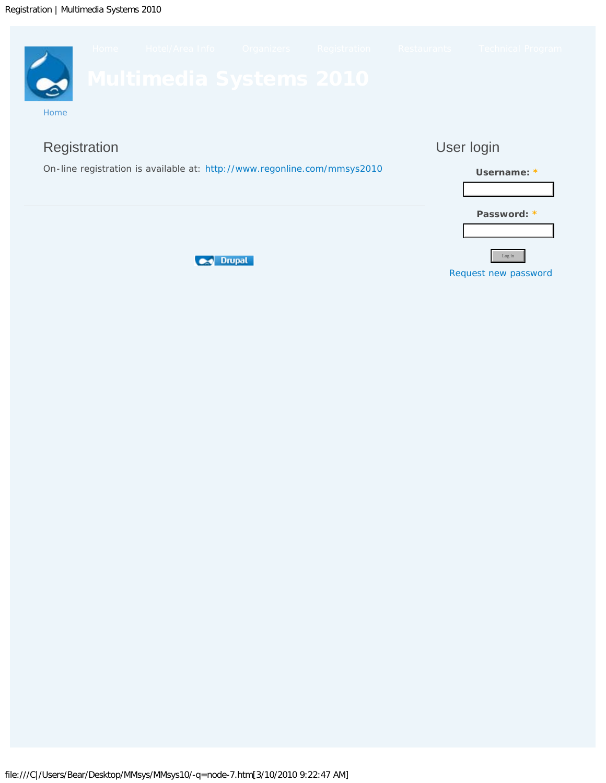<span id="page-11-0"></span>





**Password: \***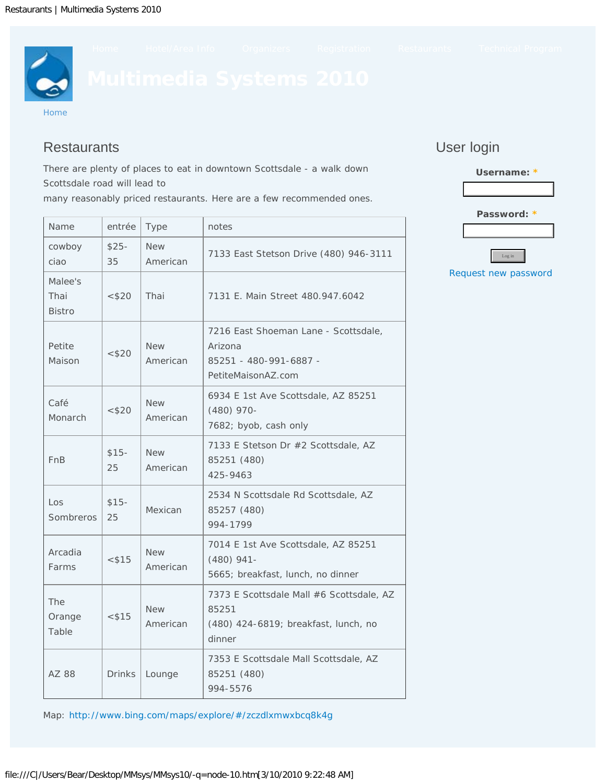<span id="page-12-0"></span>

# **Restaurants**

There are plenty of places to eat in downtown Scottsdale - a walk down Scottsdale road will lead to

many reasonably priced restaurants. Here are a few recommended ones.

# User login



Name entrée Type notes cowboy ciao \$25- 35 New American 7133 East Stetson Drive (480) 946-3111 Malee's Thai Bistro <\$20 Thai 7131 E. Main Street 480.947.6042 Petite Maison  $< $20$ New American 7216 East Shoeman Lane - Scottsdale, Arizona 85251 - 480-991-6887 - PetiteMaisonAZ.com Café Monarch  $<$  \$20 New American 6934 E 1st Ave Scottsdale, AZ 85251 (480) 970- 7682; byob, cash only FnB \$15- 25 New American 7133 E Stetson Dr #2 Scottsdale, AZ 85251 (480) 425-9463 Los Sombreros \$15- 25 Mexican 2534 N Scottsdale Rd Scottsdale, AZ 85257 (480) 994-1799 Arcadia Farms  $<$  \$15 New American 7014 E 1st Ave Scottsdale, AZ 85251 (480) 941- 5665; breakfast, lunch, no dinner The Orange Table  $<$  \$15 New American 7373 E Scottsdale Mall #6 Scottsdale, AZ 85251 (480) 424-6819; breakfast, lunch, no dinner AZ 88 | Drinks | Lounge 7353 E Scottsdale Mall Scottsdale, AZ 85251 (480) 994-5576

Map: [http://www.bing.com/maps/explore/#/zczdlxmwxbcq8k4g](javascript:if(confirm()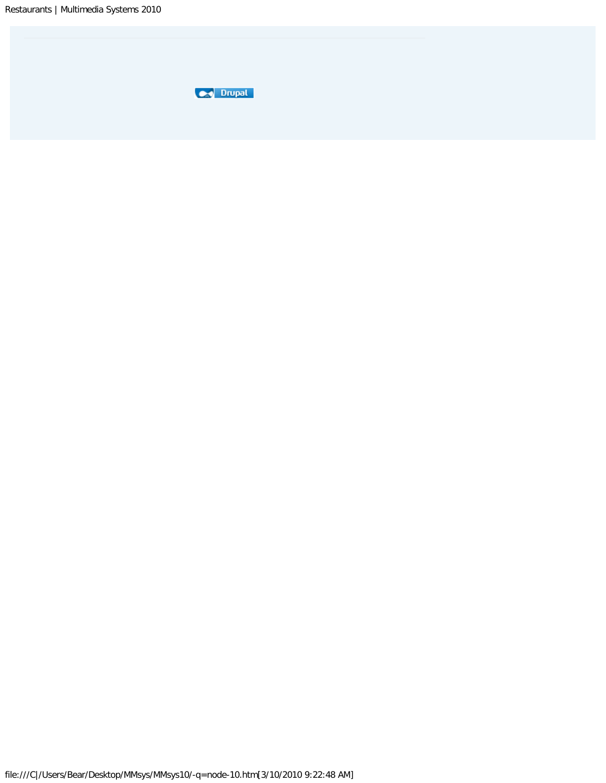| um. |
|-----|
|     |
|     |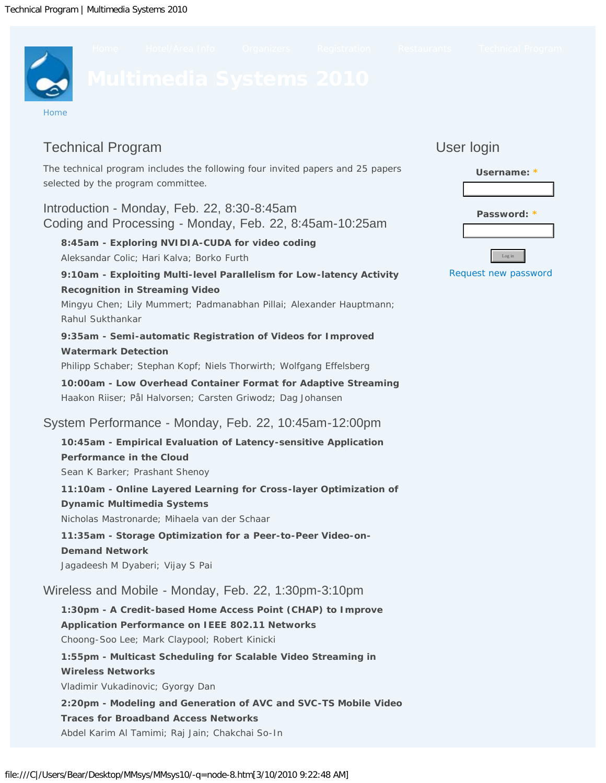<span id="page-14-0"></span>

# Technical Program

The technical program includes the following four invited papers and 25 papers selected by the program committee.

Introduction - Monday, Feb. 22, 8:30-8:45am Coding and Processing - Monday, Feb. 22, 8:45am-10:25am

**8:45am - Exploring NVIDIA-CUDA for video coding** Aleksandar Colic; Hari Kalva; Borko Furth

#### **9:10am - Exploiting Multi-level Parallelism for Low-latency Activity Recognition in Streaming Video**

Mingyu Chen; Lily Mummert; Padmanabhan Pillai; Alexander Hauptmann; Rahul Sukthankar

**9:35am - Semi-automatic Registration of Videos for Improved Watermark Detection**

Philipp Schaber; Stephan Kopf; Niels Thorwirth; Wolfgang Effelsberg

**10:00am - Low Overhead Container Format for Adaptive Streaming**  Haakon Riiser; Pål Halvorsen; Carsten Griwodz; Dag Johansen

# System Performance - Monday, Feb. 22, 10:45am-12:00pm

**10:45am - Empirical Evaluation of Latency-sensitive Application Performance in the Cloud**  Sean K Barker; Prashant Shenoy

**11:10am - Online Layered Learning for Cross-layer Optimization of Dynamic Multimedia Systems** Nicholas Mastronarde; Mihaela van der Schaar **11:35am - Storage Optimization for a Peer-to-Peer Video-on-Demand Network** 

Jagadeesh M Dyaberi; Vijay S Pai

Wireless and Mobile - Monday, Feb. 22, 1:30pm-3:10pm

**1:30pm - A Credit-based Home Access Point (CHAP) to Improve Application Performance on IEEE 802.11 Networks**  Choong-Soo Lee; Mark Claypool; Robert Kinicki

**1:55pm - Multicast Scheduling for Scalable Video Streaming in Wireless Networks**  Vladimir Vukadinovic; Gyorgy Dan

**2:20pm - Modeling and Generation of AVC and SVC-TS Mobile Video Traces for Broadband Access Networks**  Abdel Karim Al Tamimi; Raj Jain; Chakchai So-In

# User login

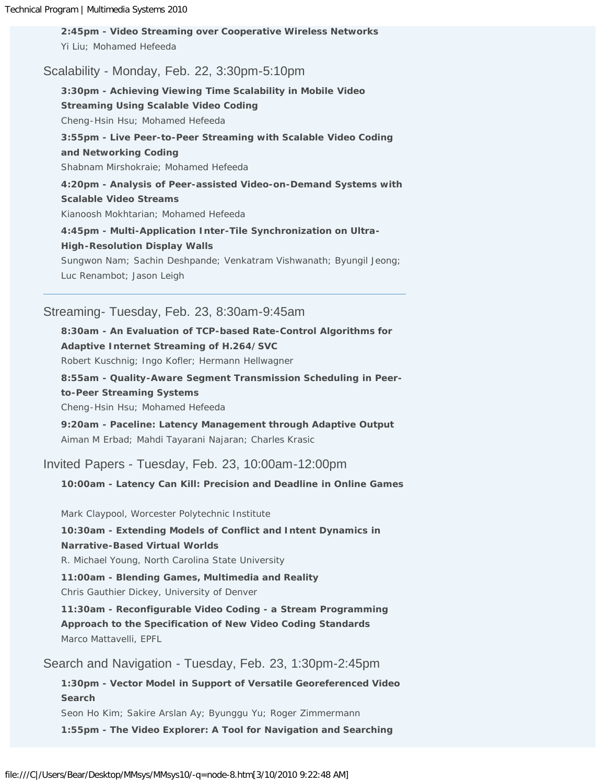**2:45pm - Video Streaming over Cooperative Wireless Networks**  Yi Liu; Mohamed Hefeeda

## Scalability - Monday, Feb. 22, 3:30pm-5:10pm

**3:30pm - Achieving Viewing Time Scalability in Mobile Video Streaming Using Scalable Video Coding** Cheng-Hsin Hsu; Mohamed Hefeeda **3:55pm - Live Peer-to-Peer Streaming with Scalable Video Coding and Networking Coding**  Shabnam Mirshokraie; Mohamed Hefeeda **4:20pm - Analysis of Peer-assisted Video-on-Demand Systems with Scalable Video Streams**  Kianoosh Mokhtarian; Mohamed Hefeeda **4:45pm - Multi-Application Inter-Tile Synchronization on Ultra-**

**High-Resolution Display Walls**  Sungwon Nam; Sachin Deshpande; Venkatram Vishwanath; Byungil Jeong;

Luc Renambot; Jason Leigh

## Streaming- Tuesday, Feb. 23, 8:30am-9:45am

**8:30am - An Evaluation of TCP-based Rate-Control Algorithms for Adaptive Internet Streaming of H.264/SVC** 

Robert Kuschnig; Ingo Kofler; Hermann Hellwagner

**8:55am - Quality-Aware Segment Transmission Scheduling in Peerto-Peer Streaming Systems** 

Cheng-Hsin Hsu; Mohamed Hefeeda

**9:20am - Paceline: Latency Management through Adaptive Output**  Aiman M Erbad; Mahdi Tayarani Najaran; Charles Krasic

Invited Papers - Tuesday, Feb. 23, 10:00am-12:00pm

**10:00am - Latency Can Kill: Precision and Deadline in Online Games**

Mark Claypool, Worcester Polytechnic Institute

**10:30am - Extending Models of Conflict and Intent Dynamics in Narrative-Based Virtual Worlds**

R. Michael Young, North Carolina State University

**11:00am - Blending Games, Multimedia and Reality**

Chris Gauthier Dickey, University of Denver

**11:30am - Reconfigurable Video Coding - a Stream Programming Approach to the Specification of New Video Coding Standards** Marco Mattavelli, EPFL

Search and Navigation - Tuesday, Feb. 23, 1:30pm-2:45pm

**1:30pm - Vector Model in Support of Versatile Georeferenced Video Search**  Seon Ho Kim; Sakire Arslan Ay; Byunggu Yu; Roger Zimmermann **1:55pm - The Video Explorer: A Tool for Navigation and Searching**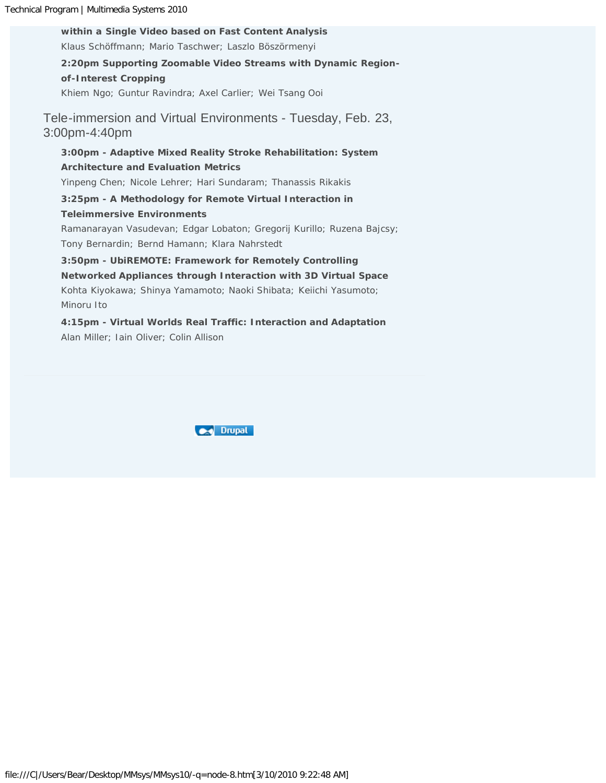**within a Single Video based on Fast Content Analysis**  Klaus Schöffmann; Mario Taschwer; Laszlo Böszörmenyi **2:20pm Supporting Zoomable Video Streams with Dynamic Regionof-Interest Cropping** Khiem Ngo; Guntur Ravindra; Axel Carlier; Wei Tsang Ooi Tele-immersion and Virtual Environments - Tuesday, Feb. 23, 3:00pm-4:40pm **3:00pm - Adaptive Mixed Reality Stroke Rehabilitation: System Architecture and Evaluation Metrics**  Yinpeng Chen; Nicole Lehrer; Hari Sundaram; Thanassis Rikakis **3:25pm - A Methodology for Remote Virtual Interaction in Teleimmersive Environments** Ramanarayan Vasudevan; Edgar Lobaton; Gregorij Kurillo; Ruzena Bajcsy; Tony Bernardin; Bernd Hamann; Klara Nahrstedt **3:50pm - UbiREMOTE: Framework for Remotely Controlling Networked Appliances through Interaction with 3D Virtual Space**  Kohta Kiyokawa; Shinya Yamamoto; Naoki Shibata; Keiichi Yasumoto; Minoru Ito

**4:15pm - Virtual Worlds Real Traffic: Interaction and Adaptation**  Alan Miller; Iain Oliver; Colin Allison